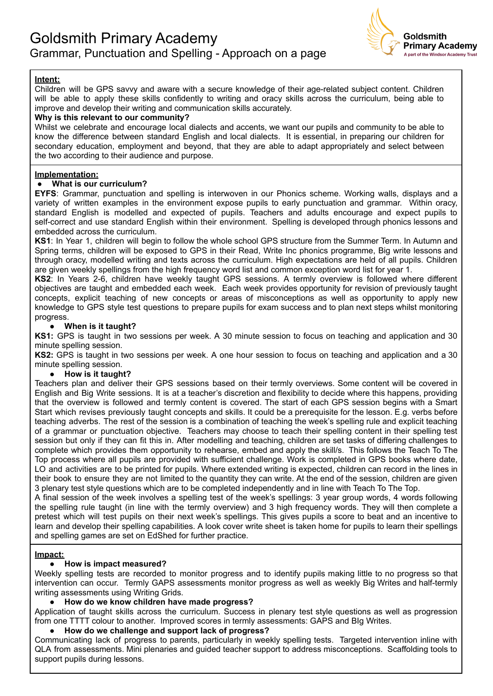

# **Intent:**

Children will be GPS savvy and aware with a secure knowledge of their age-related subject content. Children will be able to apply these skills confidently to writing and oracy skills across the curriculum, being able to improve and develop their writing and communication skills accurately.

### **Why is this relevant to our community?**

Whilst we celebrate and encourage local dialects and accents, we want our pupils and community to be able to know the difference between standard English and local dialects. It is essential, in preparing our children for secondary education, employment and beyond, that they are able to adapt appropriately and select between the two according to their audience and purpose.

# **Implementation:**

### **● What is our curriculum?**

**EYFS**: Grammar, punctuation and spelling is interwoven in our Phonics scheme. Working walls, displays and a variety of written examples in the environment expose pupils to early punctuation and grammar. Within oracy, standard English is modelled and expected of pupils. Teachers and adults encourage and expect pupils to self-correct and use standard English within their environment. Spelling is developed through phonics lessons and embedded across the curriculum.

**KS1**: In Year 1, children will begin to follow the whole school GPS structure from the Summer Term. In Autumn and Spring terms, children will be exposed to GPS in their Read, Write Inc phonics programme, Big write lessons and through oracy, modelled writing and texts across the curriculum. High expectations are held of all pupils. Children are given weekly spellings from the high frequency word list and common exception word list for year 1.

**KS2**: In Years 2-6, children have weekly taught GPS sessions. A termly overview is followed where different objectives are taught and embedded each week. Each week provides opportunity for revision of previously taught concepts, explicit teaching of new concepts or areas of misconceptions as well as opportunity to apply new knowledge to GPS style test questions to prepare pupils for exam success and to plan next steps whilst monitoring progress.

### ● **When is it taught?**

**KS1:** GPS is taught in two sessions per week. A 30 minute session to focus on teaching and application and 30 minute spelling session.

**KS2:** GPS is taught in two sessions per week. A one hour session to focus on teaching and application and a 30 minute spelling session.

#### **● How is it taught?**

Teachers plan and deliver their GPS sessions based on their termly overviews. Some content will be covered in English and Big Write sessions. It is at a teacher's discretion and flexibility to decide where this happens, providing that the overview is followed and termly content is covered. The start of each GPS session begins with a Smart Start which revises previously taught concepts and skills. It could be a prerequisite for the lesson. E.g. verbs before teaching adverbs. The rest of the session is a combination of teaching the week's spelling rule and explicit teaching of a grammar or punctuation objective. Teachers may choose to teach their spelling content in their spelling test session but only if they can fit this in. After modelling and teaching, children are set tasks of differing challenges to complete which provides them opportunity to rehearse, embed and apply the skill/s. This follows the Teach To The Top process where all pupils are provided with sufficient challenge. Work is completed in GPS books where date, LO and activities are to be printed for pupils. Where extended writing is expected, children can record in the lines in their book to ensure they are not limited to the quantity they can write. At the end of the session, children are given 3 plenary test style questions which are to be completed independently and in line with Teach To The Top.

A final session of the week involves a spelling test of the week's spellings: 3 year group words, 4 words following the spelling rule taught (in line with the termly overview) and 3 high frequency words. They will then complete a pretest which will test pupils on their next week's spellings. This gives pupils a score to beat and an incentive to learn and develop their spelling capabilities. A look cover write sheet is taken home for pupils to learn their spellings and spelling games are set on EdShed for further practice.

#### **Impact:**

# **● How is impact measured?**

Weekly spelling tests are recorded to monitor progress and to identify pupils making little to no progress so that intervention can occur. Termly GAPS assessments monitor progress as well as weekly Big Writes and half-termly writing assessments using Writing Grids.

## **● How do we know children have made progress?**

Application of taught skills across the curriculum. Success in plenary test style questions as well as progression from one TTTT colour to another. Improved scores in termly assessments: GAPS and BIg Writes.

# **● How do we challenge and support lack of progress?**

Communicating lack of progress to parents, particularly in weekly spelling tests. Targeted intervention inline with QLA from assessments. Mini plenaries and guided teacher support to address misconceptions. Scaffolding tools to support pupils during lessons.